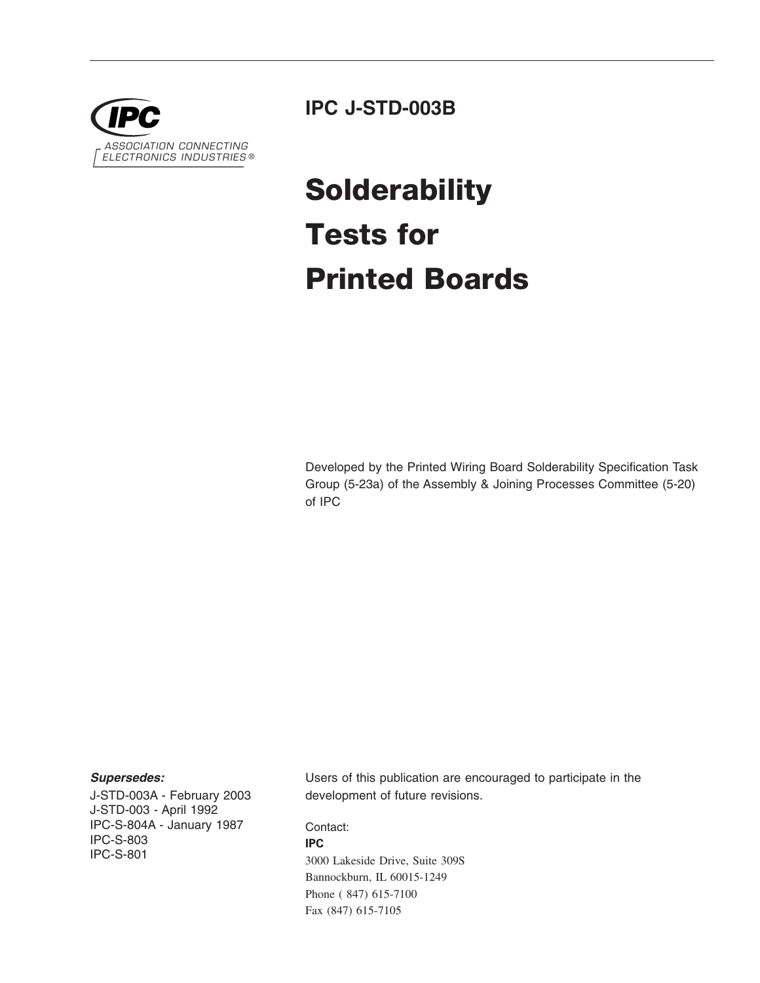

### **IPC J-STD-003B**

# **Solderability Tests for Printed Boards**

Developed by the Printed Wiring Board Solderability Specification Task Group (5-23a) of the Assembly & Joining Processes Committee (5-20) of IPC

#### *Supersedes:*

J-STD-003A - February 2003 J-STD-003 - April 1992 IPC-S-804A - January 1987 IPC-S-803 IPC-S-801

Users of this publication are encouraged to participate in the development of future revisions.

Contact:

#### **IPC**

3000 Lakeside Drive, Suite 309S Bannockburn, IL 60015-1249 Phone ( 847) 615-7100 Fax (847) 615-7105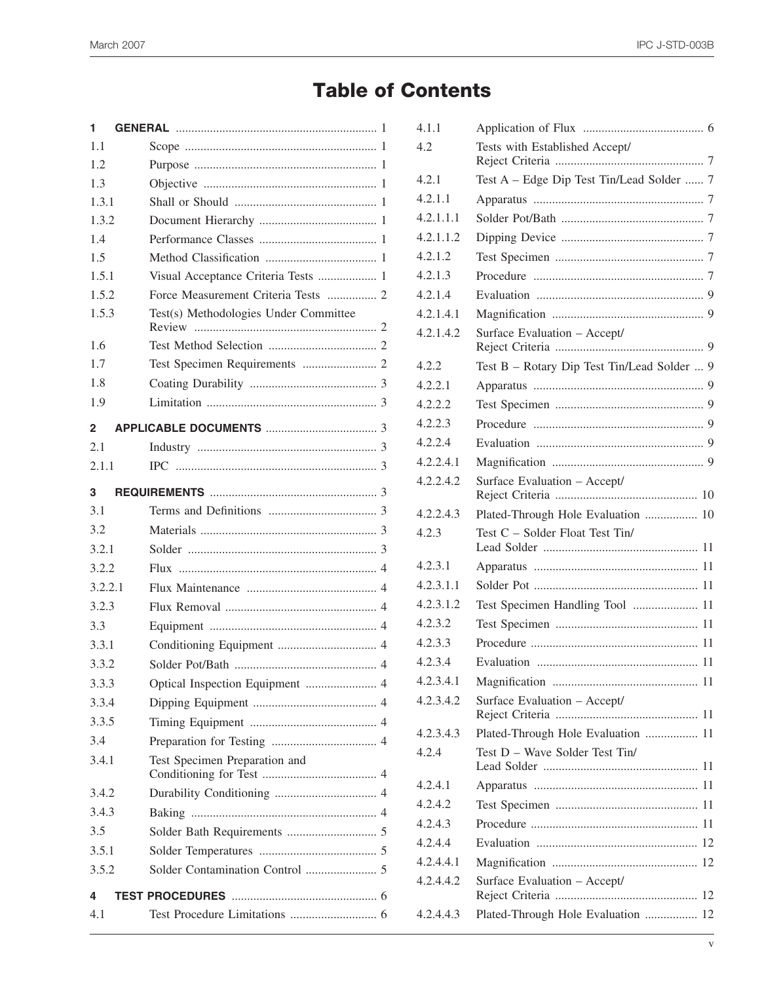# **Table of Contents**

| 1.1<br>1.2<br>1.3<br>1.3.1<br>1.3.2<br>1.4<br>1.5<br>Visual Acceptance Criteria Tests  1<br>1.5.1<br>Force Measurement Criteria Tests  2<br>1.5.2<br>1.5.3<br>Test(s) Methodologies Under Committee |  |
|-----------------------------------------------------------------------------------------------------------------------------------------------------------------------------------------------------|--|
|                                                                                                                                                                                                     |  |
|                                                                                                                                                                                                     |  |
|                                                                                                                                                                                                     |  |
|                                                                                                                                                                                                     |  |
|                                                                                                                                                                                                     |  |
|                                                                                                                                                                                                     |  |
|                                                                                                                                                                                                     |  |
|                                                                                                                                                                                                     |  |
|                                                                                                                                                                                                     |  |
|                                                                                                                                                                                                     |  |
| 1.6                                                                                                                                                                                                 |  |
| 1.7                                                                                                                                                                                                 |  |
| 1.8                                                                                                                                                                                                 |  |
| 1.9                                                                                                                                                                                                 |  |
| $\mathbf{2}$                                                                                                                                                                                        |  |
| 2.1                                                                                                                                                                                                 |  |
| 2.1.1                                                                                                                                                                                               |  |
| 3                                                                                                                                                                                                   |  |
| 3.1                                                                                                                                                                                                 |  |
| 3.2                                                                                                                                                                                                 |  |
| 3.2.1                                                                                                                                                                                               |  |
| 3.2.2                                                                                                                                                                                               |  |
| 3.2.2.1                                                                                                                                                                                             |  |
| 3.2.3                                                                                                                                                                                               |  |
| 3.3                                                                                                                                                                                                 |  |
| 3.3.1                                                                                                                                                                                               |  |
| 3.3.2                                                                                                                                                                                               |  |
| 3.3.3<br>Optical Inspection Equipment  4                                                                                                                                                            |  |
|                                                                                                                                                                                                     |  |
| 3.3.4                                                                                                                                                                                               |  |
| 3.3.5                                                                                                                                                                                               |  |
| 3.4                                                                                                                                                                                                 |  |
| 3.4.1<br>Test Specimen Preparation and                                                                                                                                                              |  |
| 3.4.2                                                                                                                                                                                               |  |
| 3.4.3                                                                                                                                                                                               |  |
| 3.5                                                                                                                                                                                                 |  |
| 3.5.1                                                                                                                                                                                               |  |
| 3.5.2                                                                                                                                                                                               |  |
| 4                                                                                                                                                                                                   |  |

| 4.1.1     |                                             |
|-----------|---------------------------------------------|
| 4.2       | Tests with Established Accept/              |
| 4.2.1     | Test A - Edge Dip Test Tin/Lead Solder  7   |
| 4.2.1.1   |                                             |
| 4.2.1.1.1 |                                             |
| 4.2.1.1.2 |                                             |
| 4.2.1.2   |                                             |
| 4.2.1.3   |                                             |
| 4.2.1.4   |                                             |
| 4.2.1.4.1 |                                             |
| 4.2.1.4.2 | Surface Evaluation - Accept/                |
| 4.2.2     | Test B - Rotary Dip Test Tin/Lead Solder  9 |
| 4.2.2.1   |                                             |
| 4.2.2.2   |                                             |
| 4.2.2.3   |                                             |
| 4.2.2.4   |                                             |
| 4.2.2.4.1 |                                             |
| 4.2.2.4.2 | Surface Evaluation - Accept/                |
| 4.2.2.4.3 | Plated-Through Hole Evaluation  10          |
| 4.2.3     | Test C - Solder Float Test Tin/             |
| 4.2.3.1   |                                             |
| 4.2.3.1.1 |                                             |
| 4.2.3.1.2 | Test Specimen Handling Tool  11             |
| 4.2.3.2   |                                             |
| 4.2.3.3   |                                             |
| 4.2.3.4   |                                             |
| 4.2.3.4.1 |                                             |
| 4.2.3.4.2 | Surface Evaluation - Accept/                |
| 4.2.3.4.3 | Plated-Through Hole Evaluation  11          |
| 4.2.4     | Test D - Wave Solder Test Tin/              |
| 4.2.4.1   |                                             |
| 4.2.4.2   |                                             |
| 4.2.4.3   |                                             |
| 4.2.4.4   |                                             |
| 4.2.4.4.1 |                                             |
| 4.2.4.4.2 | Surface Evaluation - Accept/                |
| 4.2.4.4.3 | Plated-Through Hole Evaluation  12          |
|           |                                             |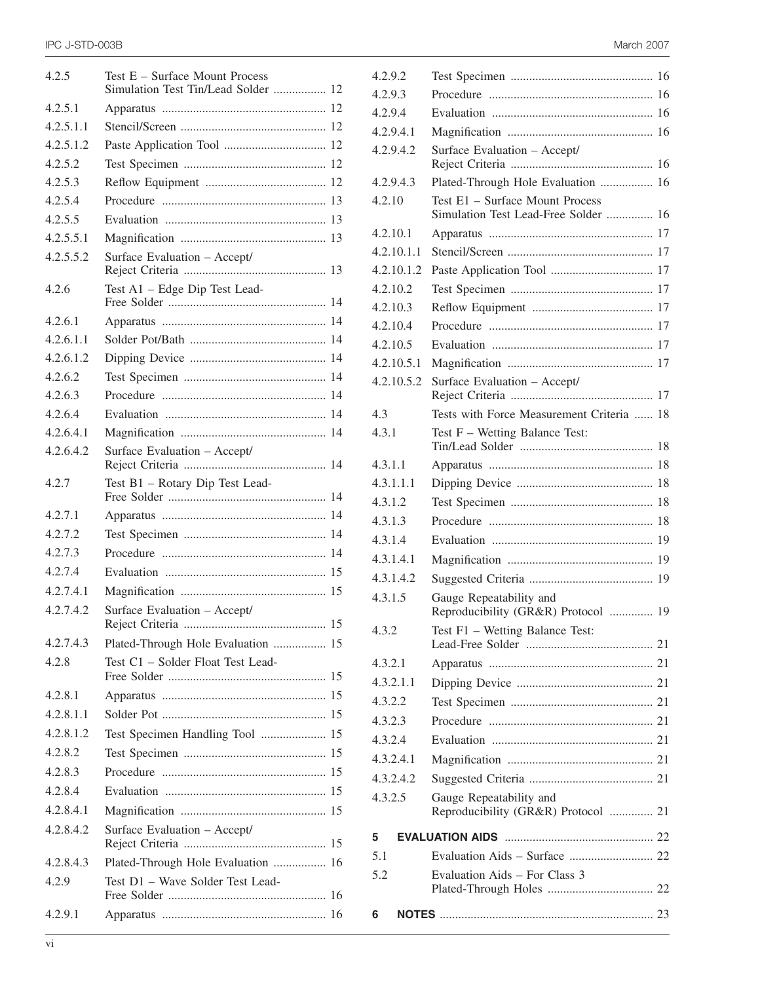| 4.2.5     | Test E - Surface Mount Process<br>Simulation Test Tin/Lead Solder  12 |    |
|-----------|-----------------------------------------------------------------------|----|
| 4.2.5.1   |                                                                       |    |
| 4.2.5.1.1 |                                                                       |    |
| 4.2.5.1.2 |                                                                       |    |
| 4.2.5.2   |                                                                       |    |
| 4.2.5.3   |                                                                       |    |
| 4.2.5.4   |                                                                       |    |
| 4.2.5.5   |                                                                       |    |
| 4.2.5.5.1 |                                                                       |    |
| 4.2.5.5.2 | Surface Evaluation - Accept/                                          |    |
| 4.2.6     | Test A1 - Edge Dip Test Lead-                                         |    |
| 4.2.6.1   |                                                                       |    |
| 4.2.6.1.1 |                                                                       |    |
| 4.2.6.1.2 |                                                                       |    |
| 4.2.6.2   |                                                                       |    |
| 4.2.6.3   |                                                                       |    |
| 4.2.6.4   |                                                                       |    |
| 4.2.6.4.1 |                                                                       |    |
| 4.2.6.4.2 | Surface Evaluation - Accept/                                          |    |
| 4.2.7     | Test B1 - Rotary Dip Test Lead-                                       |    |
| 4.2.7.1   |                                                                       |    |
| 4.2.7.2   |                                                                       |    |
| 4.2.7.3   |                                                                       |    |
| 4.2.7.4   |                                                                       |    |
| 4.2.7.4.1 |                                                                       |    |
| 4.2.7.4.2 | Surface Evaluation - Accept/<br>Reject Criteria                       | 15 |
| 4.2.7.4.3 | Plated-Through Hole Evaluation  15                                    |    |
| 4.2.8     | Test C1 - Solder Float Test Lead-                                     |    |
| 4.2.8.1   |                                                                       |    |
| 4.2.8.1.1 |                                                                       |    |
| 4.2.8.1.2 | Test Specimen Handling Tool  15                                       |    |
| 4.2.8.2   |                                                                       |    |
| 4.2.8.3   |                                                                       |    |
| 4.2.8.4   |                                                                       |    |
| 4.2.8.4.1 |                                                                       |    |
| 4.2.8.4.2 | Surface Evaluation - Accept/                                          |    |
| 4.2.8.4.3 | Plated-Through Hole Evaluation  16                                    |    |
| 4.2.9     | Test D1 - Wave Solder Test Lead-                                      |    |
| 4.2.9.1   |                                                                       |    |
|           |                                                                       |    |

| 4.2.9.2    |                                                                         |  |
|------------|-------------------------------------------------------------------------|--|
| 4.2.9.3    |                                                                         |  |
| 4.2.9.4    |                                                                         |  |
| 4.2.9.4.1  |                                                                         |  |
| 4.2.9.4.2  | Surface Evaluation - Accept/                                            |  |
| 4.2.9.4.3  | Plated-Through Hole Evaluation  16                                      |  |
| 4.2.10     | Test E1 - Surface Mount Process<br>Simulation Test Lead-Free Solder  16 |  |
| 4.2.10.1   |                                                                         |  |
| 4.2.10.1.1 |                                                                         |  |
| 4.2.10.1.2 |                                                                         |  |
| 4.2.10.2   |                                                                         |  |
| 4.2.10.3   |                                                                         |  |
| 4.2.10.4   |                                                                         |  |
| 4.2.10.5   |                                                                         |  |
| 4.2.10.5.1 |                                                                         |  |
| 4.2.10.5.2 | Surface Evaluation - Accept/                                            |  |
| 4.3        | Tests with Force Measurement Criteria  18                               |  |
| 4.3.1      | Test F - Wetting Balance Test:                                          |  |
| 4.3.1.1    |                                                                         |  |
| 4.3.1.1.1  |                                                                         |  |
| 4.3.1.2    |                                                                         |  |
| 4.3.1.3    |                                                                         |  |
| 4.3.1.4    |                                                                         |  |
| 4.3.1.4.1  |                                                                         |  |
| 4.3.1.4.2  |                                                                         |  |
| 4.3.1.5    | Gauge Repeatability and<br>Reproducibility (GR&R) Protocol  19          |  |
| 4.3.2      | Test F1 - Wetting Balance Test:                                         |  |
| 4.3.2.1    |                                                                         |  |
| 4.3.2.1.1  |                                                                         |  |
| 4.3.2.2    |                                                                         |  |
| 4.3.2.3    |                                                                         |  |
| 4.3.2.4    |                                                                         |  |
| 4.3.2.4.1  |                                                                         |  |
| 4.3.2.4.2  |                                                                         |  |
| 4.3.2.5    | Gauge Repeatability and<br>Reproducibility (GR&R) Protocol  21          |  |
| 5          |                                                                         |  |
| 5.1        |                                                                         |  |
| 5.2        | Evaluation Aids – For Class 3                                           |  |
|            |                                                                         |  |
| 6          |                                                                         |  |
|            |                                                                         |  |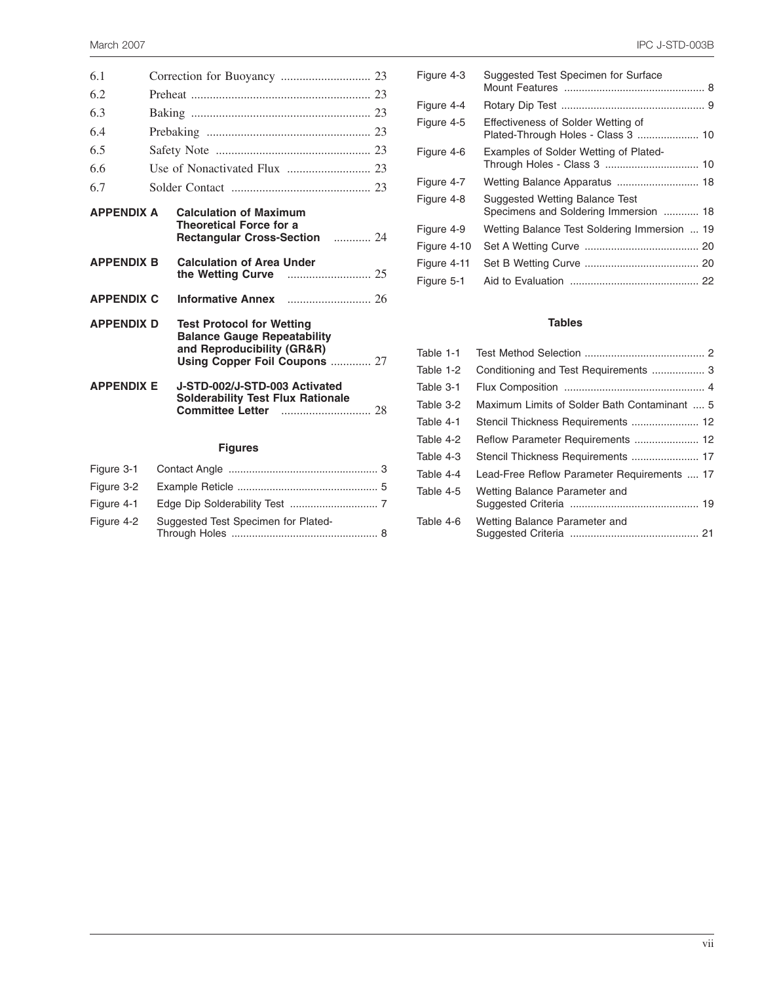| 6.1               |  |                                                                                                                                       |  |
|-------------------|--|---------------------------------------------------------------------------------------------------------------------------------------|--|
| 6.2               |  |                                                                                                                                       |  |
| 6.3               |  |                                                                                                                                       |  |
| 6.4               |  |                                                                                                                                       |  |
| 6.5               |  |                                                                                                                                       |  |
| 6.6               |  |                                                                                                                                       |  |
| 6.7               |  |                                                                                                                                       |  |
| <b>APPENDIX A</b> |  | <b>Calculation of Maximum</b><br><b>Theoretical Force for a</b><br>Rectangular Cross-Section  24                                      |  |
| <b>APPENDIX B</b> |  | <b>Calculation of Area Under</b>                                                                                                      |  |
| <b>APPENDIX C</b> |  |                                                                                                                                       |  |
| <b>APPENDIX D</b> |  | <b>Test Protocol for Wetting</b><br><b>Balance Gauge Repeatability</b><br>and Reproducibility (GR&R)<br>Using Copper Foil Coupons  27 |  |
| <b>APPENDIX E</b> |  | J-STD-002/J-STD-003 Activated<br><b>Solderability Test Flux Rationale</b>                                                             |  |
|                   |  | <b>Figures</b>                                                                                                                        |  |
| Figure 3-1        |  |                                                                                                                                       |  |
| Figure 3-2        |  |                                                                                                                                       |  |
| Figure 4-1        |  |                                                                                                                                       |  |

Figure 4-2 Suggested Test Specimen for Plated-

Through Holes .................................................. 8

| Figure 4-3  | Suggested Test Specimen for Surface                                            |
|-------------|--------------------------------------------------------------------------------|
| Figure 4-4  |                                                                                |
| Figure 4-5  | Effectiveness of Solder Wetting of                                             |
| Figure 4-6  | Examples of Solder Wetting of Plated-                                          |
| Figure 4-7  |                                                                                |
| Figure 4-8  | <b>Suggested Wetting Balance Test</b><br>Specimens and Soldering Immersion  18 |
| Figure 4-9  | Wetting Balance Test Soldering Immersion  19                                   |
| Figure 4-10 |                                                                                |
| Figure 4-11 |                                                                                |
| Figure 5-1  |                                                                                |
|             |                                                                                |

#### **Tables**

| Table 1-1 |                                              |
|-----------|----------------------------------------------|
| Table 1-2 |                                              |
| Table 3-1 |                                              |
| Table 3-2 | Maximum Limits of Solder Bath Contaminant  5 |
| Table 4-1 | Stencil Thickness Requirements  12           |
| Table 4-2 |                                              |
| Table 4-3 |                                              |
| Table 4-4 | Lead-Free Reflow Parameter Requirements  17  |
| Table 4-5 | Wetting Balance Parameter and                |
| Table 4-6 | Wetting Balance Parameter and                |
|           |                                              |